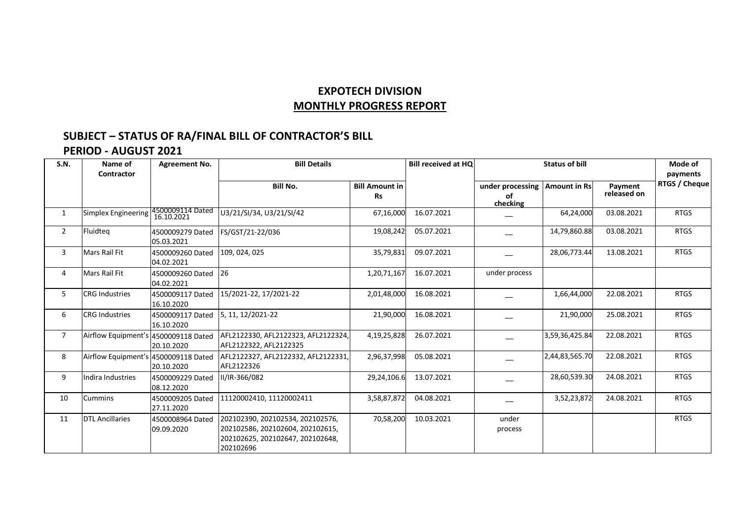## **EXPOTECH DIVISION MONTHLY PROGRESS REPORT**

## **SUBJECT – STATUS OF RA/FINAL BILL OF CONTRACTOR'S BILL**

## **PERIOD - AUGUST 2021**

| S.N.           | Name of<br>Contractor                | Agreement No.                  | <b>Bill Details</b>                                                                                                   |                                    | <b>Bill received at HQ</b> | <b>Status of bill</b>              |                     |                        | Mode of<br>payments |
|----------------|--------------------------------------|--------------------------------|-----------------------------------------------------------------------------------------------------------------------|------------------------------------|----------------------------|------------------------------------|---------------------|------------------------|---------------------|
|                |                                      |                                | <b>Bill No.</b>                                                                                                       | <b>Bill Amount in</b><br><b>Rs</b> |                            | under processing<br>оf<br>checking | <b>Amount in Rs</b> | Payment<br>released on | RTGS / Cheque       |
| $\mathbf{1}$   | Simplex Engineering                  | 4500009114 Dated<br>16.10.2021 | U3/21/SI/34, U3/21/SI/42                                                                                              | 67,16,000                          | 16.07.2021                 |                                    | 64,24,000           | 03.08.2021             | <b>RTGS</b>         |
| $\overline{2}$ | Fluidtea                             | 4500009279 Dated<br>05.03.2021 | FS/GST/21-22/036                                                                                                      | 19,08,242                          | 05.07.2021                 |                                    | 14,79,860.88        | 03.08.2021             | <b>RTGS</b>         |
| 3              | Mars Rail Fit                        | 4500009260 Dated<br>04.02.2021 | 109, 024, 025                                                                                                         | 35,79,831                          | 09.07.2021                 |                                    | 28,06,773.44        | 13.08.2021             | <b>RTGS</b>         |
| 4              | <b>Mars Rail Fit</b>                 | 4500009260 Dated<br>04.02.2021 | 26                                                                                                                    | 1,20,71,167                        | 16.07.2021                 | under process                      |                     |                        |                     |
| 5              | <b>CRG Industries</b>                | 4500009117 Dated<br>16.10.2020 | 15/2021-22, 17/2021-22                                                                                                | 2,01,48,000                        | 16.08.2021                 |                                    | 1,66,44,000         | 22.08.2021             | <b>RTGS</b>         |
| 6              | <b>CRG Industries</b>                | 4500009117 Dated<br>16.10.2020 | 5, 11, 12/2021-22                                                                                                     | 21,90,000                          | 16.08.2021                 |                                    | 21,90,000           | 25.08.2021             | <b>RTGS</b>         |
| $\overline{7}$ | Airflow Equipment's 4500009118 Dated | 20.10.2020                     | AFL2122330, AFL2122323, AFL2122324,<br>AFL2122322, AFL2122325                                                         | 4,19,25,828                        | 26.07.2021                 |                                    | 3,59,36,425.84      | 22.08.2021             | <b>RTGS</b>         |
| 8              | Airflow Equipment's 4500009118 Dated | 20.10.2020                     | AFL2122327, AFL2122332, AFL2122331,<br>AFL2122326                                                                     | 2,96,37,998                        | 05.08.2021                 |                                    | 2,44,83,565.70      | 22.08.2021             | <b>RTGS</b>         |
| 9              | Indira Industries                    | 4500009229 Dated<br>08.12.2020 | II/IR-366/082                                                                                                         | 29,24,106.6                        | 13.07.2021                 |                                    | 28,60,539.30        | 24.08.2021             | <b>RTGS</b>         |
| 10             | <b>Cummins</b>                       | 4500009205 Dated<br>27.11.2020 | 11120002410, 11120002411                                                                                              | 3,58,87,872                        | 04.08.2021                 |                                    | 3,52,23,872         | 24.08.2021             | <b>RTGS</b>         |
| 11             | <b>DTL Ancillaries</b>               | 4500008964 Dated<br>09.09.2020 | 202102390, 202102534, 202102576,<br>202102586, 202102604, 202102615,<br>202102625, 202102647, 202102648,<br>202102696 | 70,58,200                          | 10.03.2021                 | under<br>process                   |                     |                        | <b>RTGS</b>         |